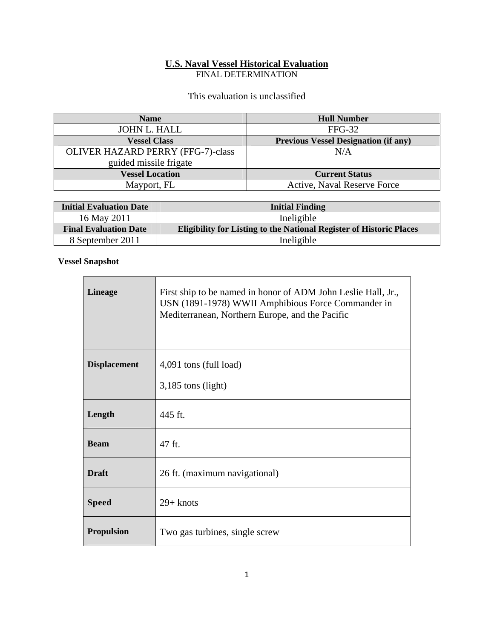# **U.S. Naval Vessel Historical Evaluation**

FINAL DETERMINATION

This evaluation is unclassified

| <b>Name</b>                              | <b>Hull Number</b>                          |
|------------------------------------------|---------------------------------------------|
| JOHN L. HALL                             | $FFG-32$                                    |
| <b>Vessel Class</b>                      | <b>Previous Vessel Designation (if any)</b> |
| <b>OLIVER HAZARD PERRY (FFG-7)-class</b> | N/A                                         |
| guided missile frigate                   |                                             |
| <b>Vessel Location</b>                   | <b>Current Status</b>                       |
| Mayport, FL                              | Active, Naval Reserve Force                 |

| <b>Initial Evaluation Date</b> | <b>Initial Finding</b>                                                     |
|--------------------------------|----------------------------------------------------------------------------|
| 16 May 2011                    | Ineligible                                                                 |
| <b>Final Evaluation Date</b>   | <b>Eligibility for Listing to the National Register of Historic Places</b> |
| 8 September 2011               | Ineligible                                                                 |

 $\overline{\phantom{0}}$ 

### **Vessel Snapshot**

| <b>Lineage</b>      | First ship to be named in honor of ADM John Leslie Hall, Jr.,<br>USN (1891-1978) WWII Amphibious Force Commander in<br>Mediterranean, Northern Europe, and the Pacific |
|---------------------|------------------------------------------------------------------------------------------------------------------------------------------------------------------------|
| <b>Displacement</b> | 4,091 tons (full load)                                                                                                                                                 |
|                     | $3,185$ tons (light)                                                                                                                                                   |
| Length              | 445 ft.                                                                                                                                                                |
| <b>Beam</b>         | 47 ft.                                                                                                                                                                 |
| <b>Draft</b>        | 26 ft. (maximum navigational)                                                                                                                                          |
| <b>Speed</b>        | $29+$ knots                                                                                                                                                            |
| <b>Propulsion</b>   | Two gas turbines, single screw                                                                                                                                         |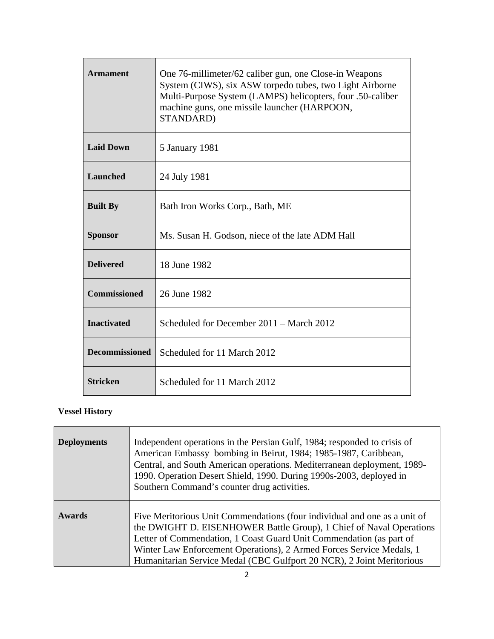| <b>Armament</b>       | One 76-millimeter/62 caliber gun, one Close-in Weapons<br>System (CIWS), six ASW torpedo tubes, two Light Airborne<br>Multi-Purpose System (LAMPS) helicopters, four .50-caliber<br>machine guns, one missile launcher (HARPOON,<br>STANDARD) |
|-----------------------|-----------------------------------------------------------------------------------------------------------------------------------------------------------------------------------------------------------------------------------------------|
| <b>Laid Down</b>      | 5 January 1981                                                                                                                                                                                                                                |
| <b>Launched</b>       | 24 July 1981                                                                                                                                                                                                                                  |
| <b>Built By</b>       | Bath Iron Works Corp., Bath, ME                                                                                                                                                                                                               |
| <b>Sponsor</b>        | Ms. Susan H. Godson, niece of the late ADM Hall                                                                                                                                                                                               |
| <b>Delivered</b>      | 18 June 1982                                                                                                                                                                                                                                  |
| <b>Commissioned</b>   | 26 June 1982                                                                                                                                                                                                                                  |
| <b>Inactivated</b>    | Scheduled for December 2011 – March 2012                                                                                                                                                                                                      |
| <b>Decommissioned</b> | Scheduled for 11 March 2012                                                                                                                                                                                                                   |
| <b>Stricken</b>       | Scheduled for 11 March 2012                                                                                                                                                                                                                   |

# **Vessel History**

| <b>Deployments</b> | Independent operations in the Persian Gulf, 1984; responded to crisis of<br>American Embassy bombing in Beirut, 1984; 1985-1987, Caribbean,<br>Central, and South American operations. Mediterranean deployment, 1989-<br>1990. Operation Desert Shield, 1990. During 1990s-2003, deployed in<br>Southern Command's counter drug activities.                             |
|--------------------|--------------------------------------------------------------------------------------------------------------------------------------------------------------------------------------------------------------------------------------------------------------------------------------------------------------------------------------------------------------------------|
| <b>Awards</b>      | Five Meritorious Unit Commendations (four individual and one as a unit of<br>the DWIGHT D. EISENHOWER Battle Group), 1 Chief of Naval Operations<br>Letter of Commendation, 1 Coast Guard Unit Commendation (as part of<br>Winter Law Enforcement Operations), 2 Armed Forces Service Medals, 1<br>Humanitarian Service Medal (CBC Gulfport 20 NCR), 2 Joint Meritorious |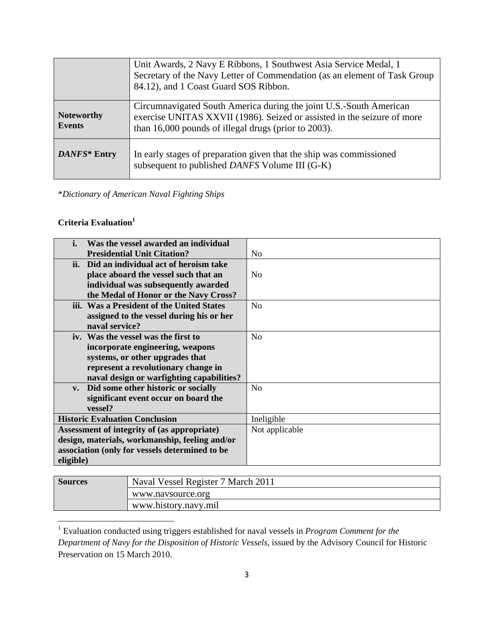|                                    | Unit Awards, 2 Navy E Ribbons, 1 Southwest Asia Service Medal, 1<br>Secretary of the Navy Letter of Commendation (as an element of Task Group<br>84.12), and 1 Coast Guard SOS Ribbon.                |
|------------------------------------|-------------------------------------------------------------------------------------------------------------------------------------------------------------------------------------------------------|
| <b>Noteworthy</b><br><b>Events</b> | Circumnavigated South America during the joint U.S.-South American<br>exercise UNITAS XXVII (1986). Seized or assisted in the seizure of more<br>than 16,000 pounds of illegal drugs (prior to 2003). |
| DANFS* Entry                       | In early stages of preparation given that the ship was commissioned<br>subsequent to published DANFS Volume III (G-K)                                                                                 |

\**Dictionary of American Naval Fighting Ships*

## **Criteria Evaluation1**

| i.                                             | Was the vessel awarded an individual      |                |
|------------------------------------------------|-------------------------------------------|----------------|
|                                                | <b>Presidential Unit Citation?</b>        | N <sub>0</sub> |
|                                                | ii. Did an individual act of heroism take |                |
|                                                | place aboard the vessel such that an      | N <sub>0</sub> |
|                                                | individual was subsequently awarded       |                |
|                                                | the Medal of Honor or the Navy Cross?     |                |
|                                                | iii. Was a President of the United States | N <sub>0</sub> |
|                                                | assigned to the vessel during his or her  |                |
|                                                | naval service?                            |                |
|                                                | iv. Was the vessel was the first to       | N <sub>o</sub> |
|                                                | incorporate engineering, weapons          |                |
|                                                | systems, or other upgrades that           |                |
|                                                | represent a revolutionary change in       |                |
|                                                | naval design or warfighting capabilities? |                |
|                                                | v. Did some other historic or socially    | N <sub>0</sub> |
|                                                | significant event occur on board the      |                |
|                                                | vessel?                                   |                |
| <b>Historic Evaluation Conclusion</b>          |                                           | Ineligible     |
| Assessment of integrity of (as appropriate)    |                                           | Not applicable |
| design, materials, workmanship, feeling and/or |                                           |                |
| association (only for vessels determined to be |                                           |                |
| eligible)                                      |                                           |                |

| <b>Sources</b> | Naval Vessel Register 7 March 2011 |
|----------------|------------------------------------|
|                | www.navsource.org                  |
|                | www.history.navy.mil               |

 1 Evaluation conducted using triggers established for naval vessels in *Program Comment for the Department of Navy for the Disposition of Historic Vessels*, issued by the Advisory Council for Historic Preservation on 15 March 2010.